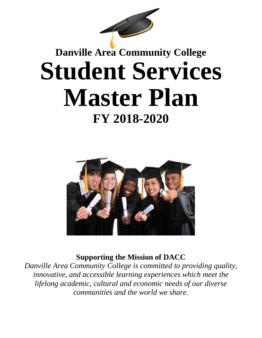

# **Danville Area Community College Student Services Master Plan FY 2018-2020**



**Supporting the Mission of DACC**

*Danville Area Community College is committed to providing quality, innovative, and accessible learning experiences which meet the lifelong academic, cultural and economic needs of our diverse communities and the world we share.*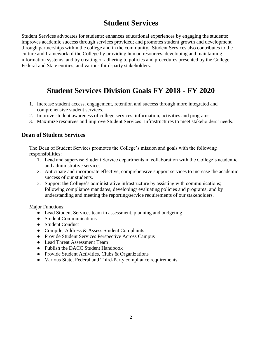## **Student Services**

Student Services advocates for students; enhances educational experiences by engaging the students; improves academic success through services provided; and promotes student growth and development through partnerships within the college and in the community. Student Services also contributes to the culture and framework of the College by providing human resources, developing and maintaining information systems, and by creating or adhering to policies and procedures presented by the College, Federal and State entities, and various third-party stakeholders.

## **Student Services Division Goals FY 2018 - FY 2020**

- 1. Increase student access, engagement, retention and success through more integrated and comprehensive student services.
- 2. Improve student awareness of college services, information, activities and programs.
- 3. Maximize resources and improve Student Services' infrastructures to meet stakeholders' needs.

#### **Dean of Student Services**

The Dean of Student Services promotes the College's mission and goals with the following responsibilities:

- 1. Lead and supervise Student Service departments in collaboration with the College's academic and administrative services.
- 2. Anticipate and incorporate effective, comprehensive support services to increase the academic success of our students.
- 3. Support the College's administrative infrastructure by assisting with communications; following compliance mandates; developing/ evaluating policies and programs; and by understanding and meeting the reporting/service requirements of our stakeholders.

Major Functions:

- Lead Student Services team in assessment, planning and budgeting
- Student Communications
- Student Conduct
- Compile, Address & Assess Student Complaints
- Provide Student Services Perspective Across Campus
- Lead Threat Assessment Team
- Publish the DACC Student Handbook
- Provide Student Activities, Clubs & Organizations
- Various State, Federal and Third-Party compliance requirements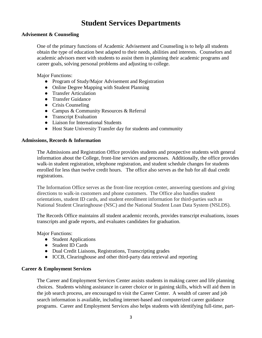### **Student Services Departments**

#### **Advisement & Counseling**

One of the primary functions of Academic Advisement and Counseling is to help all students obtain the type of education best adapted to their needs, abilities and interests. Counselors and academic advisors meet with students to assist them in planning their academic programs and career goals, solving personal problems and adjusting to college.

Major Functions:

- Program of Study/Major Advisement and Registration
- Online Degree Mapping with Student Planning
- Transfer Articulation
- Transfer Guidance
- Crisis Counseling
- Campus & Community Resources & Referral
- Transcript Evaluation
- Liaison for International Students
- Host State University Transfer day for students and community

#### **Admissions, Records & Information**

The Admissions and Registration Office provides students and prospective students with general information about the College, front-line services and processes. Additionally, the office provides walk-in student registration, telephone registration, and student schedule changes for students enrolled for less than twelve credit hours. The office also serves as the hub for all dual credit registrations.

The Information Office serves as the front-line reception center, answering questions and giving directions to walk-in customers and phone customers. The Office also handles student orientations, student ID cards, and student enrollment information for third-parties such as National Student Clearinghouse (NSC) and the National Student Loan Data System (NSLDS).

The Records Office maintains all student academic records, provides transcript evaluations, issues transcripts and grade reports, and evaluates candidates for graduation.

Major Functions:

- Student Applications
- Student ID Cards
- Dual Credit Liaisons, Registrations, Transcripting grades
- ICCB, Clearinghouse and other third-party data retrieval and reporting

#### **Career & Employment Services**

The Career and Employment Services Center assists students in making career and life planning choices. Students wishing assistance in career choice or in gaining skills, which will aid them in the job search process, are encouraged to visit the Career Center. A wealth of career and job search information is available, including internet-based and computerized career guidance programs. Career and Employment Services also helps students with identifying full-time, part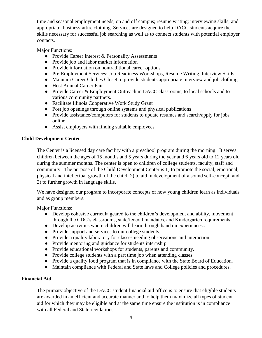time and seasonal employment needs, on and off campus; resume writing; interviewing skills; and appropriate, business-attire clothing. Services are designed to help DACC students acquire the skills necessary for successful job searching as well as to connect students with potential employer contacts.

Major Functions:

- Provide Career Interest & Personality Assessments
- Provide job and labor market information
- Provide information on nontraditional career options
- Pre-Employment Services: Job Readiness Workshops, Resume Writing, Interview Skills
- Maintain Career Clothes Closet to provide students appropriate interview and job clothing
- Host Annual Career Fair
- Provide Career & Employment Outreach in DACC classrooms, to local schools and to various community partners.
- Facilitate Illinois Cooperative Work Study Grant
- Post job openings through online systems and physical publications
- Provide assistance/computers for students to update resumes and search/apply for jobs online
- Assist employers with finding suitable employees

#### **Child Development Center**

The Center is a licensed day care facility with a preschool program during the morning. It serves children between the ages of 15 months and 5 years during the year and 6 years old to 12 years old during the summer months. The center is open to children of college students, faculty, staff and community. The purpose of the Child Development Center is 1) to promote the social, emotional, physical and intellectual growth of the child; 2) to aid in development of a sound self-concept; and 3) to further growth in language skills.

We have designed our program to incorporate concepts of how young children learn as individuals and as group members.

Major Functions:

- Develop cohesive curricula geared to the children's development and ability, movement through the CDC's classrooms, state/federal mandates, and Kindergarten requirements..
- Develop activities where children will learn through hand on experiences..
- Provide support and services to our college students.
- Provide a quality laboratory for classes needing observations and interaction.
- Provide mentoring and guidance for students internship.
- Provide educational workshops for students, parents and community.
- Provide college students with a part time job when attending classes.
- Provide a quality food program that is in compliance with the State Board of Education.
- Maintain compliance with Federal and State laws and College policies and procedures.

#### **Financial Aid**

The primary objective of the DACC student financial aid office is to ensure that eligible students are awarded in an efficient and accurate manner and to help them maximize all types of student aid for which they may be eligible and at the same time ensure the institution is in compliance with all Federal and State regulations.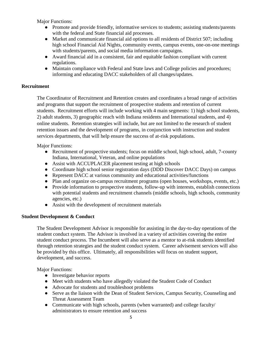Major Functions:

- Promote and provide friendly, informative services to students; assisting students/parents with the federal and State financial aid processes.
- Market and communicate financial aid options to all residents of District 507; including high school Financial Aid Nights, community events, campus events, one-on-one meetings with students/parents, and social media information campaigns.
- Award financial aid in a consistent, fair and equitable fashion compliant with current regulations.
- Maintain compliance with Federal and State laws and College policies and procedures; informing and educating DACC stakeholders of all changes/updates.

#### **Recruitment**

The Coordinator of Recruitment and Retention creates and coordinates a broad range of activities and programs that support the recruitment of prospective students and retention of current students. Recruitment efforts will include working with 4 main segments: 1) high school students, 2) adult students, 3) geographic reach with Indiana residents and International students, and 4) online students. Retention strategies will include, but are not limited to the research of student retention issues and the development of programs, in conjunction with instruction and student services departments, that will help ensure the success of at-risk populations.

Major Functions:

- Recruitment of prospective students; focus on middle school, high school, adult, 7-county Indiana, International, Veteran, and online populations
- Assist with ACCUPLACER placement testing at high schools
- Coordinate high school senior registration days (DDD Discover DACC Days) on campus
- Represent DACC at various community and educational activities/functions
- Plan and organize on-campus recruitment programs (open houses, workshops, events, etc.)
- Provide information to prospective students, follow-up with interests, establish connections with potential students and recruitment channels (middle schools, high schools, community agencies, etc.)
- Assist with the development of recruitment materials

#### **Student Development & Conduct**

The Student Development Advisor is responsible for assisting in the day-to-day operations of the student conduct system. The Advisor is involved in a variety of activities covering the entire student conduct process. The Incumbent will also serve as a mentor to at-risk students identified through retention strategies and the student conduct system. Career advisement services will also be provided by this office. Ultimately, all responsibilities will focus on student support, development, and success.

Major Functions:

- Investigate behavior reports
- Meet with students who have allegedly violated the Student Code of Conduct
- Advocate for students and troubleshoot problems
- Serve as the liaison with the Dean of Student Services, Campus Security, Counseling and Threat Assessment Team
- Communicate with high schools, parents (when warranted) and college faculty/ administrators to ensure retention and success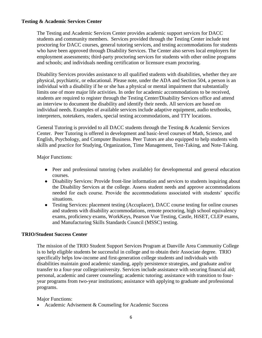#### **Testing & Academic Services Center**

The Testing and Academic Services Center provides academic support services for DACC students and community members. Services provided through the Testing Center include test proctoring for DACC courses, general tutoring services, and testing accommodations for students who have been approved through Disability Services. The Center also serves local employers for employment assessments; third-party proctoring services for students with other online programs and schools; and individuals needing certification or licensure exam proctoring.

Disability Services provides assistance to all qualified students with disabilities, whether they are physical, psychiatric, or educational. Please note, under the ADA and Section 504, a person is an individual with a disability if he or she has a physical or mental impairment that substantially limits one of more major life activities. In order for academic accommodations to be received, students are required to register through the Testing Center/Disability Services office and attend an interview to document the disability and identify their needs. All services are based on individual needs. Examples of available services include adaptive equipment, audio textbooks, interpreters, notetakers, readers, special testing accommodations, and TTY locations.

General Tutoring is provided to all DACC students through the Testing & Academic Services Center. Peer Tutoring is offered in development and basic-level courses of Math, Science, and English, Psychology, and Computer Business. Peer Tutors are also equipped to help students with skills and practice for Studying, Organization, Time Management, Test-Taking, and Note-Taking.

Major Functions:

- Peer and professional tutoring (when available) for developmental and general education courses.
- Disability Services: Provide front-line information and services to students inquiring about the Disability Services at the college. Assess student needs and approve accommodations needed for each course. Provide the accommodations associated with students' specific situations.
- Testing Services: placement testing (Accuplacer), DACC course testing for online courses and students with disability accommodations, remote proctoring, high school equivalency exams, proficiency exams, WorkKeys, Pearson Vue Testing, Castle, HiSET, CLEP exams, and Manufacturing Skills Standards Council (MSSC) testing.

#### **TRIO/Student Success Center**

The mission of the TRIO Student Support Services Program at Danville Area Community College is to help eligible students be successful in college and to obtain their Associate degree. TRIO specifically helps low-income and first-generation college students and individuals with disabilities maintain good academic standing, apply persistence strategies, and graduate and/or transfer to a four-year college/university. Services include assistance with securing financial aid; personal, academic and career counseling; academic tutoring; assistance with transition to fouryear programs from two-year institutions; assistance with applying to graduate and professional programs.

#### Major Functions:

• Academic Advisement & Counseling for Academic Success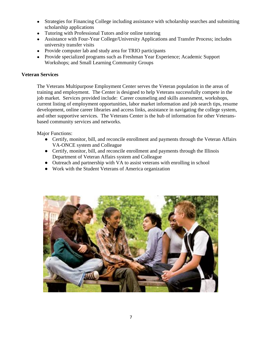- Strategies for Financing College including assistance with scholarship searches and submitting scholarship applications
- Tutoring with Professional Tutors and/or online tutoring
- Assistance with Four-Year College/University Applications and Transfer Process; includes university transfer visits
- Provide computer lab and study area for TRIO participants
- Provide specialized programs such as Freshman Year Experience; Academic Support Workshops; and Small Learning Community Groups

#### **Veteran Services**

The Veterans Multipurpose Employment Center serves the Veteran population in the areas of training and employment. The Center is designed to help Veterans successfully compete in the job market. Services provided include: Career counseling and skills assessment, workshops, current listing of employment opportunities, labor market information and job search tips, resume development, online career libraries and access links, assistance in navigating the college system, and other supportive services. The Veterans Center is the hub of information for other Veteransbased community services and networks.

Major Functions:

- Certify, monitor, bill, and reconcile enrollment and payments through the Veteran Affairs VA-ONCE system and Colleague
- Certify, monitor, bill, and reconcile enrollment and payments through the Illinois Department of Veteran Affairs system and Colleague
- Outreach and partnership with VA to assist veterans with enrolling in school
- Work with the Student Veterans of America organization

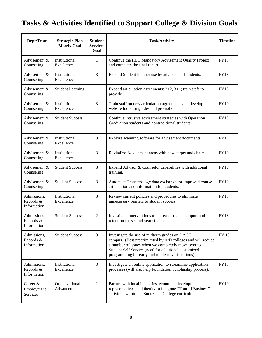## **Tasks & Activities Identified to Support College & Division Goals**

| Dept/Team                               | <b>Strategic Plan</b><br><b>Matrix Goal</b> | <b>Student</b><br><b>Services</b><br>Goal | <b>Task/Activity</b>                                                                                                                                                                                                                                                             | <b>Timeline</b> |
|-----------------------------------------|---------------------------------------------|-------------------------------------------|----------------------------------------------------------------------------------------------------------------------------------------------------------------------------------------------------------------------------------------------------------------------------------|-----------------|
| Advisement &<br>Counseling              | Institutional<br>Excellence                 | 1                                         | Continue the HLC Mandatory Advisement Quality Project<br>and complete the final report.                                                                                                                                                                                          | <b>FY18</b>     |
| Advisement &<br>Counseling              | Institutional<br>Excellence                 | 3                                         | Expand Student Planner use by advisors and students.                                                                                                                                                                                                                             | <b>FY18</b>     |
| Advisement &<br>Counseling              | <b>Student Learning</b>                     | 1                                         | Expand articulation agreements: $2+2$ , $3+1$ ; train staff to<br>provide                                                                                                                                                                                                        | <b>FY19</b>     |
| Advisement &<br>Counseling              | Institutional<br>Excellence                 | 3                                         | Train staff on new articulation agreements and develop<br>website tools for guides and promotion.                                                                                                                                                                                | <b>FY19</b>     |
| Advisement &<br>Counseling              | <b>Student Success</b>                      | $\mathbf{1}$                              | Continue intrusive advisement strategies with Operation<br>Graduation students and nontraditional students.                                                                                                                                                                      | <b>FY19</b>     |
| Advisement &<br>Counseling              | Institutional<br>Excellence                 | 3                                         | Explore scanning software for advisement documents.                                                                                                                                                                                                                              | <b>FY19</b>     |
| Advisement &<br>Counseling              | Institutional<br>Excellence                 | 3                                         | Revitalize Advisement areas with new carpet and chairs.                                                                                                                                                                                                                          | <b>FY19</b>     |
| Advisement &<br>Counseling              | <b>Student Success</b>                      | 3                                         | Expand Advisor & Counselor capabilities with additional<br>training.                                                                                                                                                                                                             | <b>FY19</b>     |
| Advisement &<br>Counseling              | <b>Student Success</b>                      | 3                                         | Automate Transferology data exchange for improved course<br>articulation and information for students.                                                                                                                                                                           | <b>FY19</b>     |
| Admissions,<br>Records &<br>Information | Institutional<br>Excellence                 | 3                                         | Review current policies and procedures to eliminate<br>unnecessary barriers to student success.                                                                                                                                                                                  | <b>FY18</b>     |
| Admissions,<br>Records &<br>Information | <b>Student Success</b>                      | 2                                         | Investigate interventions to increase student support and<br>retention for second year students.                                                                                                                                                                                 | <b>FY18</b>     |
| Admissions,<br>Records &<br>Information | <b>Student Success</b>                      | 3                                         | Investigate the use of midterm grades on DACC<br>campus. (Best practice cited by AtD colleges and will reduce<br>a number of issues when we completely move over to<br>Student Self Service (need for additional customized<br>programming for early and midterm verifications). | <b>FY 18</b>    |
| Admissions,<br>Records &<br>Information | Institutional<br>Excellence                 | 3                                         | Investigate an online application to streamline application<br>processes (will also help Foundation Scholarship process).                                                                                                                                                        | <b>FY18</b>     |
| Career &<br>Employment<br>Services      | Organizational<br>Advancement               | 1                                         | Partner with local industries, economic development<br>representatives, and faculty to integrate "Tour of Business"<br>activities within the Success in College curriculum                                                                                                       | FY19            |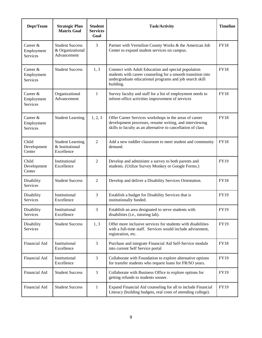| Dept/Team                            | <b>Strategic Plan</b><br><b>Matrix Goal</b>               | <b>Student</b><br><b>Services</b><br>Goal | <b>Task/Activity</b>                                                                                                                                                                        | <b>Timeline</b> |
|--------------------------------------|-----------------------------------------------------------|-------------------------------------------|---------------------------------------------------------------------------------------------------------------------------------------------------------------------------------------------|-----------------|
| Career &<br>Employment<br>Services   | <b>Student Success</b><br>& Organizational<br>Advancement | 3                                         | Partner with Vermilion County Works & the American Job<br>Center to expand student services on campus.                                                                                      | <b>FY18</b>     |
| Career $&$<br>Employment<br>Services | <b>Student Success</b>                                    | 1, 3                                      | Connect with Adult Education and special population<br>students with career counseling for a smooth transition into<br>undergraduate educational programs and job search skill<br>building. | <b>FY18</b>     |
| Career $&$<br>Employment<br>Services | Organizational<br>Advancement                             | 1                                         | Survey faculty and staff for a list of employment needs to<br>inform office activities improvement of services                                                                              | <b>FY18</b>     |
| Career $&$<br>Employment<br>Services | <b>Student Learning</b>                                   | 1, 2, 3                                   | Offer Career Services workshops in the areas of career<br>development processes, resume writing, and interviewing<br>skills to faculty as an alternative to cancellation of class           | <b>FY18</b>     |
| Child<br>Development<br>Center       | <b>Student Learning</b><br>& Institutional<br>Excellence  | $\overline{c}$                            | Add a new toddler classroom to meet student and community<br>demand.                                                                                                                        | <b>FY18</b>     |
| Child<br>Development<br>Center       | Institutional<br>Excellence                               | $\overline{2}$                            | Develop and administer a survey to both parents and<br>students. (Utilize Survey Monkey or Google Forms.)                                                                                   | <b>FY19</b>     |
| Disability<br>Services               | <b>Student Success</b>                                    | $\overline{c}$                            | Develop and deliver a Disability Services Orientation.                                                                                                                                      | <b>FY18</b>     |
| Disability<br>Services               | Institutional<br>Excellence                               | 3                                         | Establish a budget for Disability Services that is<br>institutionally funded.                                                                                                               | <b>FY19</b>     |
| Disability<br>Services               | Institutional<br>Excellence                               | 3                                         | Establish an area designated to serve students with<br>disabilities (i.e., tutoring lab).                                                                                                   | FY19            |
| Disability<br>Services               | <b>Student Success</b>                                    | 1, 3                                      | Offer more inclusive services for students with disabilities<br>with a full-time staff. Services would include advisement,<br>registration, etc.                                            | FY19            |
| Financial Aid                        | Institutional<br>Excellence                               | 3                                         | Purchase and integrate Financial Aid Self-Service module<br>into current Self Service portal                                                                                                | <b>FY18</b>     |
| Financial Aid                        | Institutional<br>Excellence                               | 3                                         | Collaborate with Foundation to explore alternative options<br>for transfer students who request loans for FR/SO years.                                                                      | FY19            |
| Financial Aid                        | <b>Student Success</b>                                    | 3                                         | Collaborate with Business Office to explore options for<br>getting refunds to students sooner.                                                                                              | <b>FY19</b>     |
| Financial Aid                        | <b>Student Success</b>                                    | 1                                         | Expand Financial Aid counseling for all to include Financial<br>Literacy (building budgets, real costs of attending college).                                                               | FY19            |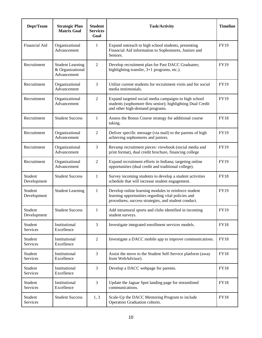| Dept/Team              | <b>Strategic Plan</b><br><b>Matrix Goal</b>                | <b>Student</b><br><b>Services</b><br>Goal | <b>Task/Activity</b>                                                                                                                                                | <b>Timeline</b> |
|------------------------|------------------------------------------------------------|-------------------------------------------|---------------------------------------------------------------------------------------------------------------------------------------------------------------------|-----------------|
| Financial Aid          | Organizational<br>Advancement                              | 1                                         | Expand outreach to high school students, presenting<br>Financial Aid information to Sophomores, Juniors and<br>Seniors.                                             | FY19            |
| Recruitment            | <b>Student Learning</b><br>& Organizational<br>Advancement | $\overline{2}$                            | Develop recruitment plan for Past DACC Graduates;<br>highlighting transfer, $3+1$ programs, etc.).                                                                  | FY19            |
| Recruitment            | Organizational<br>Advancement                              | 3                                         | Utilize current students for recruitment visits and for social<br>media testimonials.                                                                               | FY19            |
| Recruitment            | Organizational<br>Advancement                              | $\overline{2}$                            | Expand targeted social media campaigns to high school<br>students (sophomore thru senior); highlighting Dual Credit<br>and other high-demand programs.              | FY19            |
| Recruitment            | <b>Student Success</b>                                     | $\mathbf{1}$                              | Assess the Bonus Course strategy for additional course<br>taking.                                                                                                   | <b>FY18</b>     |
| Recruitment            | Organizational<br>Advancement                              | 2                                         | Deliver specific message (via mail) to the parents of high<br>achieving sophomores and juniors.                                                                     | FY19            |
| Recruitment            | Organizational<br>Advancement                              | 3                                         | Revamp recruitment pieces: viewbook (social media and<br>print format), dual credit brochure, financing college                                                     | FY19            |
| Recruitment            | Organizational<br>Advancement                              | 2                                         | Expand recruitment efforts in Indiana; targeting online<br>opportunities (dual credit and traditional college).                                                     | FY19            |
| Student<br>Development | <b>Student Success</b>                                     | 1                                         | Survey incoming students to develop a student activities<br>schedule that will increase student engagement.                                                         | <b>FY18</b>     |
| Student<br>Development | <b>Student Learning</b>                                    | 1                                         | Develop online learning modules to reinforce student<br>learning opportunities regarding vital policies and<br>procedures, success strategies, and student conduct. | FY19            |
| Student<br>Development | <b>Student Success</b>                                     | $\mathbf{1}$                              | Add intramural sports and clubs identified in incoming<br>student surveys.                                                                                          | FY19            |
| Student<br>Services    | Institutional<br>Excellence                                | 3                                         | Investigate integrated enrollment services models.                                                                                                                  | <b>FY18</b>     |
| Student<br>Services    | Institutional<br>Excellence                                | $\overline{2}$                            | Investigate a DACC mobile app to improve communications.                                                                                                            | <b>FY18</b>     |
| Student<br>Services    | Institutional<br>Excellence                                | 3                                         | Assist the move to the Student Self-Service platform (away<br>from WebAdvisor).                                                                                     | <b>FY18</b>     |
| Student<br>Services    | Institutional<br>Excellence                                | 3                                         | Develop a DACC webpage for parents.                                                                                                                                 | <b>FY18</b>     |
| Student<br>Services    | Institutional<br>Excellence                                | 3                                         | Update the Jaguar Spot landing page for streamlined<br>communications.                                                                                              | <b>FY18</b>     |
| Student<br>Services    | <b>Student Success</b>                                     | 1, 3                                      | Scale-Up the DACC Mentoring Program to include<br>Operation Graduation cohorts.                                                                                     | <b>FY18</b>     |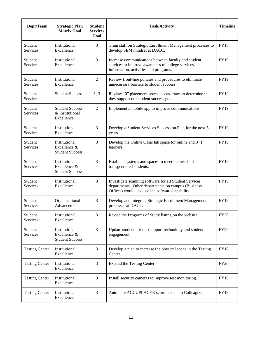| Dept/Team                  | <b>Strategic Plan</b><br><b>Matrix Goal</b>             | <b>Student</b><br><b>Services</b><br>Goal | <b>Task/Activity</b>                                                                                                                                             | <b>Timeline</b> |
|----------------------------|---------------------------------------------------------|-------------------------------------------|------------------------------------------------------------------------------------------------------------------------------------------------------------------|-----------------|
| Student<br>Services        | Institutional<br>Excellence                             | 3                                         | Train staff on Strategic Enrollment Management processes to<br>develop SEM mindset at DACC.                                                                      | <b>FY18</b>     |
| Student<br>Services        | Institutional<br>Excellence                             | 3                                         | Increase communications between faculty and student<br>services to improve awareness of college services,<br>information, activities and programs.               | <b>FY19</b>     |
| Student<br>Services        | Institutional<br>Excellence                             | $\overline{2}$                            | Review front-line policies and procedures to eliminate<br>unnecessary barriers to student success.                                                               | <b>FY19</b>     |
| Student<br>Services        | <b>Student Success</b>                                  | 1, 3                                      | Review "0" placement score success rates to determine if<br>they support our student success goals.                                                              | <b>FY19</b>     |
| Student<br><b>Services</b> | <b>Student Success</b><br>& Institutional<br>Excellence | $\overline{2}$                            | Implement a mobile app to improve communications.                                                                                                                | <b>FY19</b>     |
| Student<br>Services        | Institutional<br>Excellence                             | 3                                         | Develop a Student Services Succession Plan for the next 5<br>years.                                                                                              | <b>FY19</b>     |
| Student<br><b>Services</b> | Institutional<br>Excellence &<br><b>Student Success</b> | 3                                         | Develop the Online Oasis lab space for online and $3+1$<br>learners.                                                                                             | <b>FY19</b>     |
| Student<br>Services        | Institutional<br>Excellence &<br><b>Student Success</b> | 3                                         | Establish systems and spaces to meet the needs of<br>transgendered students.                                                                                     | <b>FY19</b>     |
| Student<br><b>Services</b> | Institutional<br>Excellence                             | 3                                         | Investigate scanning software for all Student Services<br>departments. Other departments on campus (Business<br>Offices) would also use the software/capability. | <b>FY19</b>     |
| Student<br>Services        | Organizational<br>Advancement                           | 3                                         | Develop and integrate Strategic Enrollment Management<br>processes at DACC.                                                                                      | <b>FY19</b>     |
| Student<br>Services        | Institutional<br>Excellence                             | 3                                         | Revise the Programs of Study listing on the website.                                                                                                             | <b>FY20</b>     |
| Student<br>Services        | Institutional<br>Excellence &<br><b>Student Success</b> | 3                                         | Update student areas to support technology and student<br>engagement.                                                                                            | <b>FY20</b>     |
| <b>Testing Center</b>      | Institutional<br>Excellence                             | $\overline{3}$                            | Develop a plan to increase the physical space in the Testing<br>Center.                                                                                          | <b>FY18</b>     |
| <b>Testing Center</b>      | Institutional<br>Excellence                             | 3                                         | Expand the Testing Center.                                                                                                                                       | <b>FY20</b>     |
| <b>Testing Center</b>      | Institutional<br>Excellence                             | 3                                         | Install security cameras to improve test monitoring.                                                                                                             | FY19            |
| <b>Testing Center</b>      | Institutional<br>Excellence                             | 3                                         | Automate ACCUPLACER score feeds into Colleague.                                                                                                                  | FY19            |